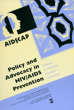AIDSCAP Policy and Strategies for Enhancing HIVIAIDS Prevention **Interventions** Prevention THE AIDS CONTROL AND PREVENTION (AIDSCAP) PROJECT. UNTRUE AND TREVENTION LATUSUAL INTERNATIONAL, IS FUNDED BY THE UNITED STATES AGENCY FOR INTERNATIONAL DEVELOPMENT. PROJECT 936-5972.31-4692046 CONTRACT HRN-5972-C-00-4001-00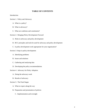## **TABLE OF CONTENTS**

#### Introduction

Section 1: Policy and Advocacy

- A. What is a policy?
- B. What is advocacy?
- C. What are coalitions and constituents?

#### Section 2: Bringing Policy Development Forward

- A. Roles in advocacy and policy development
- B. BCC principles and tools be used for advocacy and policy development
- C. Is policy development work appropriate for your organization?

#### Section 3: Steps in policy development

- A. Identifying problems
- B. Issues and solutions
- C. Gathering and analyzing data
- D. Developing the policy recommendations

#### Section 4: Advocacy for Policy Adoption

- A. Doing the advocacy work
- B. Results of advocacy

#### Section 5: The Final Stages

- A. What to expect along the way
- B. Preparation and presentation of policies
	- C. Implementation and oversight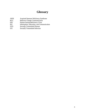## **Glossary**

- AIDS Acquired Immune Deficiency Syndrome<br>BCC Behavior Change Communication
- BCC Behavior Change Communication<br>HIV Human Immunodeficiency Virus
- Human Immunodeficiency Virus
- IEC Information, Education, and Communication<br>STD Sexually Transmitted Disease
- STD Sexually Transmitted Disease<br>STI Sexually Transmitted Infection
- Sexually Transmitted Infection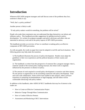# **Introduction**

Whenever HIV/AIDS program managers and staff discuss some of the problems they face, someone is likely to say:

"Well, that's a policy problem!"

Another person is likely to add:

"If only policy makers would do something, the problem will be solved."

People who make these statements may not understand that they themselves can inform and influence policy. This handbook provides suggestions for getting involved in policy development. It is written for program managers and policy advocates and others who are interested in advocacy work and in the policy aspects of HIV/AIDS prevention.

The handbook provides an overview of how to contribute to making policy an effective component of HIV/AIDS prevention.

As with any guide, the words on paper here must be adapted to real life and local situations. The following points may help make the transition:

1) The handbook illustrates the process of policy development. Readers must adapt the guidelines to their own experiences and the political dynamics of their country and organization.

2) The handbook is written from the perspective of someone like a program manager--that is, someone outside of the normal policy making structure, but whose work is regularly influenced by the presence or absence of policy.

3) The amount of work required in overall policy development is extensive and often intense. No one person or organization can do everything connected with policy development. Find and work with collaborators. Some will be more skilled at data analysis, others will have experience in preparing recommendations or legal language, and still others will be comfortable interacting with policy makers.

In addition to this handbook, other AIDSCAP BCC handbooks that may be of interest to the reader are:

- How to Create an Effective Communication Project
- Behavior Change Through Mass Communication
- How to Conduct Effective Pretests
- Assessment and Monitoring of BCC Interventions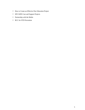- How to Create an Effective Peer Education Project
- HIV/AIDS Care and Support Projects
- Partnership with the Media
- BCC for STD Prevention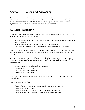# **Section 1: Policy and Advocacy**

This section defines and gives some examples of policy and advocacy. In fact, both terms are often used in various ways, depending upon local experiences. Organizations that develop policies for their internal use or that seek to influence policy development outside of their organization will want to have a common understanding of the terms.

## **A. What is a policy?**

A policy is a framework which guides decision making in an organization or government. It is a statement of intended action. For example:

- a business may have a policy of non-discrimination for hiring and employing people who are HIV-positive.
- a NGO may have a policy that directs its choice of target groups.
- the government is likely to have a policy that outlines the qualifications of teachers.

Policies deal with matters of daily life (e.g., the time employees are expected to report for work) and also major issues for society as a whole (e.g., inclusion of HIV/AIDS education in school curricula).

The HIV/AIDS epidemic has created the need to think and act in new ways which may require new policies to deal with the new situations. For example, policies may be needed to deal with issues such as:

- condom availability for all sexually active people
- confidentiality in HIV testing
- reducing school fees for orphans
- hiring HIV positive employees.

Governments, businesses and religious organizations all have policies. Even a small NGO may have policies.

Policies can take various forms:

- they may be general statements about national or organizational priorities.
- they may be written regulations.
- they may be guidelines, procedures and/or standards to be achieved.
- they may be informal (or unwritten), but widely recognized practices.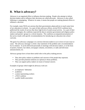## **B. What is advocacy?**

Advocacy is an organized effort to influence decision making. People who attempt to inform decision makers and to influence their decisions are called advocates. Advocacy is also called lobbying or campaigning. Whatever its name, it means that people are making planned efforts to influence a decision.

For example, many NGOs are anxious that their governments adopt policies to teach some form of sex education in schools. As a part of their advocacy efforts, several NGO coalitions have publicized the results of surveys that show high levels of youth sexual activity. As a part of their advocacy strategies, the coalitions expected the data to sensitize government and religious policy makers and parents' groups to a critical situation. The coalitions accompanied presentation of the survey results with specific recommendations for introducing sex education into school curricula.

The goal of an advocacy campaign is to convince decision makers to act in favor of your issue or cause. The advocacy message is a brief, clear statement of the problem and a recommendation for its solution. It can be delivered personally in meetings with decision makers, or in the form of posters, banners, fact sheets, newspaper columns, newsletters, or radio and television announcements, etc.

Advocacy groups have at least three useful roles in the policy making process:

- They alert policy makers to problems and concerns of the people they represent.
- They provide potential solutions (or options) to those problems.
- They can support policy makers on issues of mutual concern.

Examples of groups which might do advocacy work are:

- an employers' federation
- academics
- a union representing workers
- a NGO coalition
- a public health association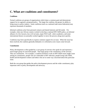## **C. What are coalitions and constituents?**

## **Coalitions**

Formal coalitions are groups of organizations which share a common goal and demonstrate support for (or against) a proposed policy. The larger the coalition, the greater its ability to bring issues to policy makers. Some coalitions (such as a national trade union federation) may represent thousands of members.

Informal coalitions arise from personal contacts and shared interests and felt needs. For example, when one African country worked to develop a national HIV/AIDS policy, an informal alliance of a few lawyers, key civil servants, major NGO staff, select academics, and some international donors occasionally worked together to move the process along more quickly.

Coalitions may form specifically to express common support for an issue. When the issue has been resolved, the coalition generally disbands or is reformed as new issues come forward.

## **Constituents**

Policy development is often guided by a core group of activists who speak for and represent a much larger group of concerned people. That large group is the constituency of the activists. They are constituents. For example, a coalition formed to work on HIV/AIDS issues might count among its constituents, people who are vulnerable to HIV infection, people living with AIDS, health and development workers and others who are in some way concerned about this particular issue.

Both the core group that guides the policy development process and the wider constituency play important roles in policy development and advocacy.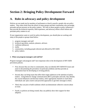# **Section 2: Bringing Policy Development Forward**

## **A. Roles in advocacy and policy development**

Policies are not made just by members of parliament or church councils--people who are policy makers. They often result from the efforts of many groups and their constituents who encourage, persuade and put pressure on the policy makers. We refer to these people as policy influencers- they provide the technical expertise, field experience, and advocacy efforts which inform and persuade policy makers to act.

If your organization wants to work for policy development, you should plan on working with many of the people or groups listed below:

- 1. program managers and staff
- 2. technical specialists, analysts, planners, advisors
- 3. coalitions (alliances)
- 4. media
- 5. communities, including people infected and affected by HIV/AIDS
- 6. policy makers.

#### **1. What can program managers and staff do?**

Program managers and program staff have important roles in the development of HIV/AIDS prevention policies.

- First, because they are close to communities, they can identify HIV/AIDS/STI issues and assist in documenting the prevalence of particular problems and thus provide an information base for developing or revising policies.
- Second, they can bring issues that affect their target audiences to the attention of policy makers. Using behavior change communication (BCC) principles and tools, they identify the crucial influencers and decision makers, select appropriate channels to reach those individuals and plan creative and powerful approaches to get their messages to them.
- Third, they can join or build coalitions which can demonstrate collective concern about an issue.
- Fourth, as policies are being created, they can publicly show their support for their adoption.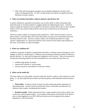• Fifth, field staff and program managers may eventually implement activities in the context of adopted policies. So, they can help shape how policies are applied and offer feed-back for policy makers.

### **2. What can technical specialists, analysts, planners and advisors do?**

As policy influencers, specialists and analysts can use their skills to collect and present data about the issues or use their expertise to suggest options for addressing the issues. Technical experts include the statistician who compiles for the district medical officer data to show monthly trends in STD cases and the medical doctor who has just returned from an international conference.

Advisors to policy makers are important policy influencers. Often, they have direct access to policy makers, or provide them with critical information, and may even recommend actions for the policy makers to take. Advisors to policy makers can include the president of a large women's organization, or a university professor who is known for his interest and expertise on this issue, or the editor of a daily newspaper.

## **3. What can coalitions do?**

Coalitions are groups of people or organizations that share a common concern and agree to work together to achieve a common goal. Coalitions may be temporary alliances formed to influence a specific decision. Or, they may be long-term, designed to exist for years. They are necessary for creating and sustaining political will and commitment for a new policy because they can:

- mobilize large groups of people
- represent the interests of many groups
- increase the power and influence of advocacy efforts.

### **4. What can the media do?**

The mass media can create public awareness about the need for a policy or the existence of a bad policy. It can also target decision-makers and interest groups with information about the policy issue.

• **Print media:** As literacy levels increase, the print media gain greater importance in informing people. Articles written by authorities, letters to the editor and editorials can influence many readers, including decision makers.

• **Broadcast media:** Radio and television have a large outreach and can play a direct role in advocacy with the general public. For example, televising the involvement of the head of state or other dignitaries in an HIV/AIDS prevention event can emphasize the national importance of HIV prevention.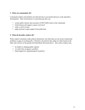### **5. What can communities do?**

Community leaders and members are often the key to successful advocacy work and policy development. Their involvement is crucial because they can:

- arouse public interest and awareness of HIV/AIDS issues in the community
- build interest and support at grass roots level
- make a call for action
- apply pressure to gain support from politicians.

### **6. What do the policy makers do?**

Policy makers sometimes make policies themselves, but often they are not aware of particular problems or gaps in existing policy. Therefore, the policies they adopt are often based on the ideas and concerns of the groups and individuals discussed above. Also, policy makers may:

- be leaders in shaping public opinion
- act when they recognize a problem
- build support for implementation of policies.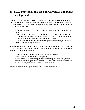## **B. BCC principles and tools for advocacy and policy development**

Behavior Change Communication's (BCC) role in HIV/STI programs is to help change, or reinforce, decisions and behavior related to prevention and care. The principles and tools of IEC/BCC are useful to advocacy and policy development in a number of ways. For example, BCC approaches are useful:

- to heighten awareness of HIV/STIs as a national issue among policy makers and the public.
- to contribute to a favorable political and social climate for HIV/STI prevention and care.
- to mobilize the community and relevant social organizations for prevention and care.
- to popularize technical information about prevention and care.
- to deal with specific community problems through appropriate messages and media directed at identified target audiences.

The same principles that you use to encourage and support behavior change in your target group can be used in effective campaigns aimed at policy makers. For example, if you intend to do advocacy for policy development you will:

- carefully define the audience(s) who need to hear your messages.
- conduct research to learn about the issue/problem.
- conduct formative research to help you understand policy makers' current positions.
- craft messages which appeal to the concerns and beliefs of the targeted policy makers.
- use interpersonal, print and broadcast media to reach them.

You will also use some policy tools which will be discussed in Section 3-C.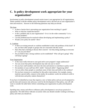## **C. Is policy development work appropriate for your organization?**

Involvement in policy development around certain issues is not appropriate for all organizations. Think carefully to decide whether policy development work is the best use of your organization's time and resources. Answers to the following questions may help you decide.

### The Issue

- Is there a barrier that is preventing your organization from reaching it's goals?
- Who or what has created the barrier?
- Is this a problem only in your organization? Or is it in the wider community? Is it a national problem?
- Can the problem/issue be resolved without developing and implementing a policy?
- Would a new policy be useful? How?

### A Coalition

- Is there an existing network or coalition established to deal with problems of this kind? If not, are there other people or groups who are concerned with this issue?
- Have they had a meeting to discuss their concern? Are they doing anything to overcome it? Can you join them?
- Do you believe that a strong coalition can be established? Who will get it going? Who will keep it going?

### Your Organization

- Is this issue really relevant to your goal and to your program's target audience(s)?
- Are you aware that policy development may take one year or more?
- Do you have staff members who have the time and interest to contribute to policy work?
- Do members of your staff have BCC skills? Outreach skills? Organizing skills?
- Can you allow these people to contribute some of their time and skills to the coalition?
- Do you have resources to contribute for this policy intervention-for example, money, material, special skills, contacts in the media, the academic world, the technical world or with decision and policy makers themselves?

If you have (1) identified an issue that requires a new or better policy and you are (2) prepared to put the time and resources into advocacy work for the development of that policy, you will still want to consider the table below before committing your organization to policy development work.

Spending time, money and effort to influence policy development is not always practical or appropriate. The table below indicates occasions when you should consider working to develop a policy and when you should not.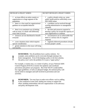| DEVELOP A POLICY WHEN:                                                                                       | DO NOT DEVELOP A POLICY WHEN:                                                                                       |
|--------------------------------------------------------------------------------------------------------------|---------------------------------------------------------------------------------------------------------------------|
| an issue effects an entire country or<br>$\bullet$<br>organization or a large segment of the<br>population   | a policy already exists e.g., some<br>public health policies sufficiently cover<br><b>HIV/AIDS</b> issues           |
| there is a clear need for organizational<br>guidance on acceptable behavior                                  | a problem can be resolved through<br>existing administrative or management<br>channels.                             |
| there is no consistent way of dealing<br>with an issue; it is dealt with differently<br>every time it occurs | the time and resources required to<br>develop a policy far exceed the capacity of<br>your organization or coalition |
| resources are not distributed to benefit<br>everyone                                                         | circumstances are so unfavorable that<br>there is a serious risk of a negative<br>response                          |
| a new situation arises which requires<br>special consideration                                               | regularly followed procedures already<br>fit most people's needs.                                                   |
| greater attention to this issue will bring<br>real benefits                                                  |                                                                                                                     |

**REMEMBER:** Not all problems have a policy solution. For example, some problems can be overcome through training or by better management. Even if developing a policy is the best solution, the policy won't solve the problem if it is just a "paper policy".

!

!

For example, a country may, as a matter of policy, set up a National AIDS Control Program (NACP) to monitor the epidemic and coordinate prevention and patient care programs. But if the NACP is understaffed, has vague guidelines, or lacks an adequate budget, the national policy will not be useful to managers and staff involved in prevention and care activities.

**REMEMBER:** You may have to make extra efforts--such as adding to the workload of some staff, finding new money to support the effort, building relationships with new organizations--to do advocacy and policy development work.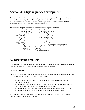# **Section 3: Steps in policy development**

The steps outlined below are parts of the process for effective policy development. As parts of a process, the various steps tend to blend together in real life. Some parts will require more time and effort than others. Within a coalition, some organizations or individuals will be better prepared to handle some parts of the process than others.

The following diagram indicates the links between the steps outlined here.



## **A. Identifying problems**

If you believe that a new policy is required, you must also believe that there is a problem that can be solved by the policy. Policy development begins with a problem.

### **Collecting Problems**

Identifying problems for implementation of HIV/AIDS/STI prevention and care programs is easy if you work with an HIV/AIDS/STI agency. For example,

- You may know that many young people have no understanding of their bodies and reproductive matters.
- You might understand that commercial sex workers are afraid to go to public clinics for STD treatment because they might be turned over to the police.
- You might be concerned that condoms are only available in pharmacists/chemists shops.
- You might disagree with an existing policy that deals with care of orphans.

You, your staff, and others you work with in the HIV/AIDS/STI field will recognize many problems. Some may have policy solutions.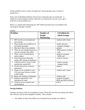Collect problems from a variety of people and interest groups to get a variety of perspectives.

Keep a list of identified problems and note how frequently they are mentioned. A simple list of the problems and how often they are mentioned is an easy way to get a sense how critical problems are.

Below is a sample table illustrating the HIV/AIDS prevention and care problems that one program manager recorded.

| Problem                              | <b>Number of</b>  | A Problem for          |
|--------------------------------------|-------------------|------------------------|
|                                      | <b>People</b>     | which Groups           |
|                                      | <b>Mentioning</b> |                        |
| 1. HIV test kits are out-dated and   | 1                 | medical staff, clients |
| not accurate                         |                   |                        |
| 2. Many people seem indifferent to   | 5                 | health educators,      |
| prevention messages                  |                   | program managers       |
| 3. Men don't like to use condoms     | $\overline{2}$    | general                |
| 4. There are not enough resources to | $\overline{7}$    | AIDS patients, medical |
| care for everyone with AIDS          |                   | staff                  |
| 5. There is lack of leadership by    | $\overline{4}$    | program managers,      |
| policy makers                        |                   | <b>MOH</b> staff       |
| 6. Some businesses informally        | 3                 | workers, lawyers       |
| require HIV testing of employees     |                   |                        |
| 7. Cultural practices, such as male  | 5                 | women's groups,        |
| promiscuity, spread HIV              |                   | religious leader       |
| 8. Women lack power to protect       | 10                | general                |
| themselves                           |                   |                        |
| 9. Drugs are not available to treat  | 8                 | medical staff, clients |
| STIs and many illnesses related      |                   |                        |
| to HIV/AIDS                          |                   |                        |
| 10. Home care training is inadequate | $\overline{2}$    | medical staff          |
| 11. Religious opposition to sex      | $\overline{7}$    | program managers,      |
| education for youth                  |                   | MOH and MOE officials  |
| 12. Projects are too scattered and   | $\overline{2}$    | <b>NACP</b>            |
| uncoordinated                        |                   |                        |

Sample:

### **Sorting Problems**

Sorting is necessary if the list of problems is long. Choose the ones that your group (and others who will join you) are best equipped to handle. Also consider:

• the number of times the problem was mentioned by the people you talked to.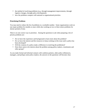- the method of resolving problems (e.g., through management improvements, through logistics changes, through policy development).
- how the problems compare with national or organizational priorities.

### **Prioritizing Problems**

You may need to reduce the list of problems to a workable number. Some organizations work on one major problem for months or years while also working on two or three minor problems for shorter periods of time.

There is no one correct way to prioritize. Among the questions to ask when preparing a list of priority problems are:

- Do we have the experience and background to learn more about the problem?
- Do we have the interest and the resources to keep working on this issue until a policy has been developed?
- Will the creation of a policy make a difference in resolving the problem(s)?
- Does there seem to be interest about the problem among policy makers, constituents and other groups?

As you make formal and informal contacts with coalition partners, other policy influencers, managers, and perhaps some policy makers, the answers to the questions will become clear.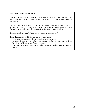## **EXAMPLE: Prioritizing Problems**

Fifteen (15) problems were identified during interviews and meetings in the community and with service providers. The first sorting reduced the number to ten (10) and a second sorting left 4 problems.

Each of the 4 problems were considered important; however, the coalition does not have the staff or other resources to work on all 4 problems at once. Despite strong support for each of the problems, the coalition decided to devote its major effort to just one problem.

The problem selected was: "Women lack power to protect themselves."

The coalition decided on this this problem for several reasons:

- It was most often mentioned during the problem gathering survey.
- Women's, development and legal reform groups were working on similar issues and might be willing to add their support for policy change.
- There was extensive experience among coalition partners in working with local women's groups.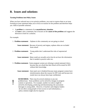## **B. Issues and solutions**

#### **Turning Problems into Policy Issues**

When you have selected one or two priority problems, you want to express them as an issue. Forming an issue statement helps you to focus on reasons for the problem and therefore helps you think of possible solutions.

- A **problem** is a statement of an **unsatisfactory situation**.
- An **issue** is also a statement, but it focuses on the **causes of the problem** and suggests the direction to look for a solution.

For example:

|                       | 1. Problem statement: Orphans in this community are not going to school.                                                                                                                                                                                                                                                                                                                                                                                   |
|-----------------------|------------------------------------------------------------------------------------------------------------------------------------------------------------------------------------------------------------------------------------------------------------------------------------------------------------------------------------------------------------------------------------------------------------------------------------------------------------|
|                       | <b>Issue statement:</b> Because of poverty and stigma, orphans often are excluded<br>from school.                                                                                                                                                                                                                                                                                                                                                          |
| 2. Problem statement: | Young adults don't understand the risks of unprotected<br>sex.                                                                                                                                                                                                                                                                                                                                                                                             |
|                       | <b>Issue statement:</b> Many youth are sexually active but do not have the information<br>that is needed to practice safer sex.                                                                                                                                                                                                                                                                                                                            |
|                       | 3. Problem statement: Some pregnant women are refusing to attend antenatal clinics<br>because they are afraid that their blood will be tested for HIV<br>without their knowledge.                                                                                                                                                                                                                                                                          |
|                       | <b>Issue statement:</b> Ante-natal care is hindered because many pregnant women have<br>misinformation about the reasons for HIV tests and because test<br>results have not always been kept confidential.                                                                                                                                                                                                                                                 |
|                       | <b>REMEMBER:</b> There may be several solutions to any one<br>problem/issue. Some problems can be solved by changes in program<br>content or operations. For example, number two above might be<br>solved by developing, producing and disseminating risk assessment<br>messages to young adults. However, if teachers and religious leaders<br>do not allow young people to have access to such information, a<br>policy solution might also be required. |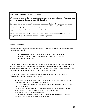## **EXAMPLE : Turning Problems into Issues**

We selected the problem that was mentioned most often in the table in Section 3-A: **women lack the power to protect themselves from HIV infection.**

During our discussions with staff, community members and other NGOs, we find that there are many reasons why women lack power and are vulnerable to HIV infection. Many possible solutions are offered. We prepare an issue statement which both expresses the problem and suggests a policy-based solution. The issue statement reads:

**Women are vulnerable to HIV infection because they lack the skills and the power to engage in dialogue about sexual matters with their partners.**

### **Selecting a Solution**

!

After a problem is expressed as an issue statement, work with your coalition partners to decide on a workable solution.

> **REMEMBER:** Not all problems have a policy solution. Since you believe that this is a serious problem and you sincerely want to solve it, consider all solutions.

In order to determine an appropriate solution, you and your coalition partners will want to gather and analyze as much information as possible about the issue (see next section). Then brainstorm as many potential solutions as you can think of. Examine each one and consider the probability that people will be willing to organize around and support that solution.

If you believe that development of a new policy may be an appropriate solution, consider the following things before making a final decision.

- Will enough people and advocacy groups be interested in this solution so that we can bring it to the attention of all key decision makers?
- Is this issue so sensitive that policy makers will not want to deal with it in the current political atmosphere?
- Are there past examples of people or organizations trying to push for such a policy? What happened? Could the same thing happen to this coalition?
- What are the chances of achieving success?
- Is the information that we have available strong enough to persuade policy makers?
- Are there other and easier ways to solve this issue?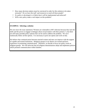- How many decision makers must be convinced in order for this solution to be taken seriously? Do we have the staff and resources to reach all those people?
- If a policy is developed, is it likely that it will be implemented and enforced?
- Will a new policy make a real impact on this problem?

### **EXAMPLE: Selecting a solution**

We now have the issue statement ("Women are vulnerable to HIV infection because they lack the skills and the power to engage in dialogue about sexual matters with their partners."), but there are still many possible policy options that can be used to address the problem. We can't realistically follow all the options. It is necessary to pick one option and work on that.

We believe that communication between married women and men can improve with the support of capable and trusted institutions. Religious groups in our district are trusted and have experience in promoting communication. Therefore, we decide to focus our policy work on religious groups. We will advocate that all religious denominations adopt and implement policies which promote communication within families.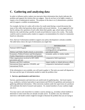## **C. Gathering and analyzing data**

In order to influence policy makers you must give them information that clearly indicates the problem and supports the solution that you suggest. Data do not have to be highly complex or require a lot of mathematical analysis. The purpose of the data is to (1) demonstrate a problem and (2) support a credible recommendation.

For example, the host of a radio call-in show for youth noted during a casual discussion that many of the callers had questions about sexuality and sexual relations. It was suggested to her that by asking a few questions of each caller about their gender, age, school status, and sexual behavior she could develop a profile of youth sexual behavior in just a few weeks. The results could be used to sensitize policy makers to support a recommendation for school or communitybased sex education.

| <b>AGENCY</b>                                      | <b>INFORMATION</b>                         |
|----------------------------------------------------|--------------------------------------------|
| <b>National AIDS Program</b>                       | epidemiological data;                      |
|                                                    | existing policies and guidelines           |
| Medical and Public Health schools at universities  | specialized studies                        |
| Economics, Political Science and Development       | economic, policy or similar studies        |
| Studies Departments at universities and institutes |                                            |
| Other organizations involved in HIV/AIDS           | comparative field experiences              |
| prevention and care                                |                                            |
| Business and NGO coalitions                        | impact studies or related advocacy efforts |
| International donor agencies, UNAIDS, and          | comparative international examples         |
| international NGOs                                 |                                            |

First, find out if information needed to support your policy development is already available. The table below shows the type of information you might find.

If the information is not available, you will need to gather it. The tools you need will depend on the issue and the type of information needed to make the problem clear.

### **1. Surveys, questionnaires and interviews**

Surveys, questionnaires and interviews are useful tools for gathering data. Ask local experts (e.g., academics, technical specialists in government and NGOs) for guidelines and assistance in gathering additional information. Often university students under the supervision of a professor will undertake this kind of research and analysis. Or, trained members of your coalition might also do it.

You may want to ask researchers to conduct a survey among e.g., secondary school students to determine to what extent they are already sexually active. In another case, key informant interviews with health workers might be enough to illustrate the problem that you are trying to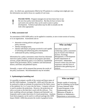solve. In a third case, questionnaires filled in by STI patients in a waiting room might give you the information you need to focus on a quality of care issue.

**PLEASE NOTE:** Program managers do not have know how to use the next four policy tools themselves. But they do have to know that such tools exist and how they can be used to assist in policy development. Technical specialists may be able to actually use the tools when appropriate.

### **2. Policy assessment tool**

!

An assessment of HIV/AIDS policy can be applied to countries, to one or more sectors of society, or to an organization. Assessments aim to:

- determine existing policies and gaps in the policy structure.
- identify emerging issues.
- identify individuals and groups involved in and capable of informing and influencing policy development.
- understand the policy making process(es).

Information for a policy assessment comes from key informant interviews (policy makers, technical and program specialists, activists, people affected by policy or its absence); unpublished reports from government, NGOs, academics and international donors; and books and published reports.

Normally, a report will be prepared that presents the results of the policy assessment. Recommendations may be included.

## **3. Epidemiological modeling tool**

It is possible to prepare a profile of the current and future status of the HIV/AIDS epidemic. Existing HIV, AIDS and STDs data can be analyzed to make an estimate (or projection) of the likely course of the epidemic for 2 to 5 years into the future. Computer software is used to produce the projections. However, the projections are only as accurate as the data that is used with the software. Two basic modeling software packages--Demproj and Epimodel--are frequently used to make short-term (3-4 year) projections. Analyses from these programs can be used in a software package (the AIDS Impact Model--AIM) that presents the results in graphical terms.

## **Who can help?**

Specialists capable of conducting a policy assessment may be found in the Political Science, Sociology, Management, or Development Studies departments of universities. Independent research centers may also have experience with this form of qualitative data gathering and analysis.

## **Who can help?**

People capable of analyzing data for modeling can be found in many National AIDS Control Programs, in the Epidemiology units of Ministries of Health, in Statistics or Mathematics departments at universities.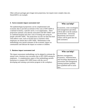Other software packages give longer-term projections, but require more complex data sets. SimulAIDS is an example.

#### **4. Socio-economic impact assessment tool**

The epidemiological projections can be complemented with economic data to provide an estimate of the costs of HIV/AIDS to a national economy, a specific sector, or an organization. These projections estimate costs directly associated with HIV/AIDS--such as combined hospital and clinic costs of treating and caring for people with HIV/AIDS. The projections can also use data that deal with indirect costs, such as income lost to a business when employees are absent due to HIV/AIDS. Refinements in the methodology now permit estimates of the economic impact on communities and indicate the impact on women or children.

### **5. Business impact assessment tool**

The impact assessment methodology can be adapted to estimate the annual costs a business may encounter due to HIV/AIDS among its employees. A complementary aspect of the methodology permits businesses to compare HIV/AIDS losses with the cost of developing and running a prevention program in the workplace.

## **Who can help?**

Economists, some sociologists and management specialists will be able to do the analysis involved here. University departments and research centers will be good sites for seek assistance.

## **Who can help?**

Business management, Economics, Administration, and Sociology departments at universities and management training institutes probably have qualified staff to assist here.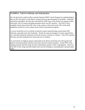## **EXAMPLE: Tools for Gathering and Analyzing Data**

We ask the district medical officer and the National AIDS Control Program for epidemiological data on HIV prevalence in the district, broken down by age and gender (if possible). Although somewhat incomplete, the data show that half the AIDS cases in the district are among women and nearly 14% of women attending antenatal clinics are HIV-positive. The NACP sent a pamphlet which showed that HIV rates in the country could reach nearly 20% of the adult population within five years without more effective prevention programs.

A survey found that over two-thirds of married women reported being worried about HIV infection, especially from their husbands. Nearly the same percentage of women reported that sex with their husbands sometimes involved coercion or threats of violence. Only 10% reported that they and their husbands have discussed use of condoms.

An assessment of religious groups represented in the district found that all of the groups had policies promoting family relations and respect between family members. Nearly 90% of the religious groups said that clergy provide counseling to people in their congregations. However, only 40% of the clergy and laity leaders had received training in counseling and communication skills.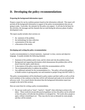## **D. Developing the policy recommendations**

### **Preparing the background information report**

Prepare a report for use by coalition partners based on the information collected. This report will provide all the background information in support of the policy recommendations that you are going to make. It provides the rationale for the policy you support. It will also be the basis for the activities, the messages and the channels that are used during the advocacy phase of policy development work.

The report usually includes short sections on:

- the statement of the problem
- the methodology for data collection
- a presentation of the data, and
- a discussion of the results.

### **Developing and writing the policy recommendation**

A policy recommendation is a formal statement, expressed in clear, concise and objective language. It usually includes the following elements:

- Statement of the problem and/or issue, and for whom and why the problem exists.
- Background and supporting information which demonstrates the problem (this will be drawn from the report, noted above).
- A description of the policy context into which the recommendation will fit.
- The recommended policy to address the problem.
- Any additional rationale for the recommendation (i.e., "the policy will provide guidance to health workers in giving quality care and treatment to people living with HIV/AIDS.").

The policy recommendation will be distributed to policy makers and their staffs as well as all the active members of the coalition so that they will be well informed and ready to be involved with advocacy work. It is a much shorter document than the background information report (see example at the end of this section).

Here are some hints for writing a policy recommendation.

• Do not use words such as "must", "need to", "should" when referring to actions to be taken. These words do not provide practical guidance on how the policy can be achieved or how the policy will alleviate the problem it is designed for. The words allow people to agree, without committing to act. They may also be seen as demands by some people, and thus will be resisted.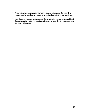- Avoid making a recommendation that is too general or unattainable. For example, a recommendation to end poverty is both too general and unattainable in the near future.
- Keep the policy statement relatively short. The overall policy recommendation will be 1- 3 pages in length. People who need further information can review the background paper and related information.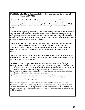## **EXAMPLE: A Brief Policy Recommendation to Reduce the Vulnerability of Married Women to HIV/AIDS**

(*Statement of problem)* The HIV/AIDS epidemic in our country and our district is a matter of great concern. Despite government and NGO programs to inform citizens and promote safe sexual relations, HIV infection rates are very high. In this district, nearly one in seven (14%) women are HIV-positive. Many of these women are married, but became infected by their husbands.

*(Background and supporting information)* Most women are very concerned about HIV infection. They are worried that the sexual behavior of their husbands either before marriage or during marriage brings the risk of infection for the wife. Only 10% of married couples in the district discuss sexual issues. Many women feel they have little control over the sexual behavior of their husbands and feel very vulnerable to HIV infection.

(*Policy context)* Religious groups are important institutions in the district. All support strong family relationships. Most have become aware that HIV/AIDS is an issue for religious communities. "We are burying too many of our people," said one clergy leader. Religious institutions are in a strategic position to support women to protect themselves from HIV infection.

*(Policy recommendations)* To help prevent the spread of HIV/AIDS among women and men in the district and the country, it is recommended that all religious institutions in the district adopt and implement the following policies:

- 1) Affirm the right of women within marriages to be safe and secure in that relationship.
- 2) Build upon the strength of religious groups in promoting communication within families by offering counseling on inter-personal relations, including sexual relations, and dialogue for couples planning to marry, newly married couples and all married couples.
- 3) As a matter of urgency, introduce training on sexual relations and couple communications into the curricula and refresher courses for all clergy.
- 4) Allocate the necessary resources to support the training of clergy and of their work with community members on couple communication, even if resources must be drawn from other work of the religious groups.

Adoption of these policies will require the careful and thoughtful consideration of each denomination and religious community. Often, such deliberations take many months or years. However, the crisis of HIV/AIDS requires that our religious groups act quickly. We hope that clergy training can begin within three months, and couple's counseling and dialogue can begin within six months.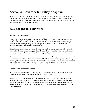# **Section 4: Advocacy for Policy Adoption**

The use of advocacy to achieve policy results is a continuation of the process of developing the policy issues and recommendation(s). Advocacy becomes a part of the policy development process when there is a need to inform policy makers, generate interest within the general public, and expand the constituency for the policy.

## **A. Doing the advocacy work**

### **The core group activities**

Policy development and advocacy are often guided by a core group of committed individuals. Usually, this small group (rarely more than 10-12 people) develop the main strategy, prepare written materials, arrange meetings and take part in meetings with policy makers. They also provide day-to-day leadership for advocacy efforts.

One of the most important ways to reach policy makers is to arrange meetings with them and their staffs. During these meetings, coalition leaders discuss the background, present data and the reasons for the policy recommendation and request the support of the policy makers.

Advocacy activities may occur over several weeks or months. Background materials can be sent to the policy maker before the initial meetings. More than one meeting may occur. Following a meeting, additional materials are sent, with a cover letter thanking the person for the meeting and referring to the outcome of the meeting, and again asking for the support of the person.

#### **Coalition and constituency activities**

To achieve the adoption of the proposed policy, it is necessary to gain and demonstrate support for the recommendation. Coalitions do this in a variety of ways.

Some activists or constituents may have professional or personal relations with policy makers. They or the technical specialists can often make contacts with policy makers or with the people who control the information that reaches them. Although such contacts are planned, they can appear to occur "accidentally"--during a meal, at a bar, between meetings at the office, or after religious services.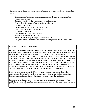Other ways that coalitions and their constituents bring the issue to the attention of policy makers are to:

- List the names of all the supporting organizations or individuals at the bottom of the recommendation itself.
- Organize a complex publicity campaign, with media messages.
- Ask people to sign petitions for presentation to policy makers.
- Get people to attend rallies.
- Pass out information (e.g., leaflets) at large events.
- Hang banners and posters in public places.
- Write letters to the editor.
- Give speeches at local groups' meetings.
- Prepare and distribute press releases.
- Sponsor public meetings on the policy recommendation.
- Get sports, movie, TV and radio celebrities to become public spokesmen for the issue.

## **EXAMPLE: Doing the advocacy work**

Because our policy recommendations are aimed at religious institutions, we need to find ways they may already share information with one another. There may be committees which deal with social issues such as "the vulnerability of women to HIV infection and the need to improve communication among sexual partners." If so, we would meet with and educate members of these committees. In addition, advocates who attend religious services, would speak to both clergy and lay leaders. They might get permission to pass out leaflets. They would urge clergy to discuss this issue during religious services. They would also provide them with background information and urge them to work for adoption of the policies within their denominations. They might also encourage the religious leaders to revise their budgets so that funds will be available to implement some recommendations--e.g., counseling and dialogue training for clergy members.

If some religious groups run medical facilities, social welfare programs, schools, or other community development efforts, staff in these programs will be approached and brought into informal coalitions because they may be effective advocates with religious leaders.

Some members of the core group of activists or the larger group of constituents may inform political or government leaders because they can then encourage the religious groups to respond to the policy recommendations.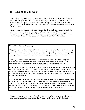## **B. Results of advocacy**

Policy makers will act when they recognize the problem and agree with the proposed solution; or when they agree with advocates that a national or organization problem exists requiring their action; or when they are convinced action is to their political or economic advantage. When policy makers are willing to act for these reasons, the work of advocates can guide and convince the policy makers.

However, some policy makers may act for reasons that do not reflect the collective good. For example, they may act to block a rival; or to gain a quick profit or political advantage for themselves or associates; or for ideological reasons. In these cases, advocates will have a more difficult time, unless their messages appeal to the self interest of the policy makers.

#### **EXAMPLE: Results of advocacy**

The policy recommendations led to a lot of discussion in the district, and beyond. Fifteen clergy spoke to the issue and supported the recommendations during religious services. Several clergy, however, expressed concern or opposition to the recommendations. They argued that AIDS was a result of individual sin and even if women were vulnerable they had to obey their husbands.

A meeting of district clergy leaders started with a fruitful discussion, but the meeting was disrupted by several men and women who loudly denounced the recommendations. The confusion that followed resulted in the meeting adjourning before decisions were made.

Supporters of the policy recommendations gained strong support from women's organizations and NGOs working on AIDS issues. A coalition of 58 groups prepared a brochure to distribute throughout the district, urging religious groups to support the recommendations. Opponents of the policies countered with a brochure of their own that said that sexual matters should be left up to the couples themselves.

An important point in the advocacy campaign was when the head of a major denomination spoke in one of the churches. He praised the district for seeking to strengthen marriage ties and to counter the AIDS epidemic. He said his denomination strongly supported the proposed policies. He said that it would take the denomination at least six months to formally consider and adopt the policies, but he urged his clergy to begin implementing the policies immediately.

Advocacy efforts may not bring the desired results. Policy makers may not respond or try to defer consideration of the policy proposals. They may ask for further studies. For policy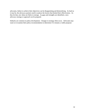advocates, failure to achieve their objectives can be disappointing and demoralizing. As hard as it may be, the advocacy partners need to analyze the factors that limited their effectiveness. As they do that, new ideas are likely to emerge. As gaps and strengths are identified, a new advocacy strategy or approach can be prepared.

Setbacks are common in policy development. Changes in strategy often occur. Advocates may want to re-examine their policy recommendation to determine if it remains a viable proposal.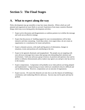# **Section 5: The Final Stages**

## **A. What to expect along the way**

Policy development may go smoothly or may face many obstacles. Efforts which are well planned and organized are more likely to succeed. Experiences from many countries illustrate things which may occur during policy development activities.

- Expect active discussion and disagreements as coalition partners try to define the message and work out an effective strategy.
- Expect that the process of building support for your recommendations will be labor intensive and time-consuming. Good ideas alone--even urgent ideas--do not create an organization or a constituency for issues and policies.
- Expect a dynamic process, with small and big pieces of information, changes in situations, events and positions all contributing to the mix.
- Expect to be ignored, dismissed, and marginalized. The people you are targeting with your advocacy messages have many other groups also demanding their attention and involvement. Until your advocacy group is known, its position and opinions clear and its ability to influence demonstrated, policy makers may ignore you and give only lip-service to the issue(s).
- Expect compromises. Compromise will probably occur when policies are being adopted and implemented. Compromising on issues which are considered critical is difficult and can be disheartening. However, compromises are an outcome of negotiations.
- Expect success. Of course the obstacles are real, but so are the chances of mobilizing a constituency and conducting effective advocacy. Success may not be quick and may be gradual.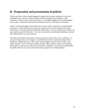## **B. Preparation and presentation of policies**

Policies are often written in legal language by people with extensive experience in that area, including lawyers and civil servants familiar with the language of government or other institutions. Policies that are often expressed in or with legal language include: parliamentary policy papers, ministerial or government declarations, decrees, and statutory instruments.

Policies usually go through several drafts and revisions within a national or an organizational bureaucracy. Senior officials may want to be required to review and comment on the drafts before they are internally approved and finally made public. Advocacy groups may be able to see and comment upon the draft policy. This was very much the case during the drafting of national HIV/AIDS policies in several countries.

The public presentation of the policy may be very quiet or may receive a lot of publicity. If a new government policy, for example, is considered important by community groups, NGOs, businesses, religious groups, or others, they can help organize special events to attract more public attention. News conferences, public seminars, rallies, opinion columns in newspapers, participation on television or radio news and interview programs can all be used to help inform the public about the new policy and to demonstrate support for its implementation.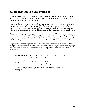## **C. Implementation and oversight**

A policy may exist just as it was adopted, or some clarifying rules and regulations may be added. The rules and regulations define how the policy will be implemented and enforced. They may include implementation or training guidelines.

Policies can be very general or very detailed. For example, a policy can be a simple statement of intent ("Every citizen will have the right to full information."). But implementation of such a policy will require extensive preparation to describe how people will have access to information, what forms of information, the responsibilities and rights of groups that provide information, etc.

As a policy is being implemented, you and your coalition partners will want to assess how useful and effective the policy is. This feedback will be very important in assuring that the problem that originally stimulated the policy development is being addressed. Occasional contact with people affected by the policy may be sufficient to assure that the intent of the policy is being applied.

Organizations which adopt policies have a responsibility to regularly monitor how the policy is being applied and implemented. At the same time, and in the case of government, outside groups often find it useful to monitor implementation and to regularly remind government of its commitments.

**REMEMBER:** Policy development does not stop with the adoption of one policy or a set of policies. Action on problems that were postponed while focusing on the priority issue can be reconsidered. New interest groups regularly form and will have issues which will overlap with your own, thus stimulating collaboration for policy development.

!

In other words, policy development is an on-going process. It's time to start again!